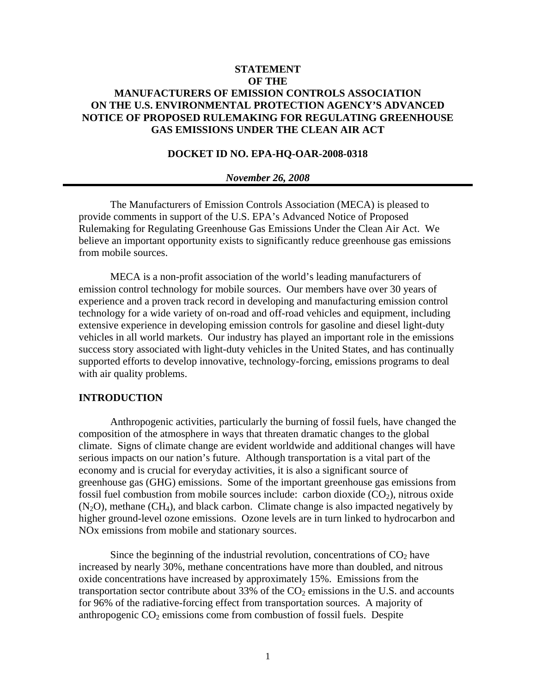# **STATEMENT OF THE MANUFACTURERS OF EMISSION CONTROLS ASSOCIATION ON THE U.S. ENVIRONMENTAL PROTECTION AGENCY'S ADVANCED NOTICE OF PROPOSED RULEMAKING FOR REGULATING GREENHOUSE GAS EMISSIONS UNDER THE CLEAN AIR ACT**

## **DOCKET ID NO. EPA-HQ-OAR-2008-0318**

#### *November 26, 2008*

The Manufacturers of Emission Controls Association (MECA) is pleased to provide comments in support of the U.S. EPA's Advanced Notice of Proposed Rulemaking for Regulating Greenhouse Gas Emissions Under the Clean Air Act. We believe an important opportunity exists to significantly reduce greenhouse gas emissions from mobile sources.

MECA is a non-profit association of the world's leading manufacturers of emission control technology for mobile sources. Our members have over 30 years of experience and a proven track record in developing and manufacturing emission control technology for a wide variety of on-road and off-road vehicles and equipment, including extensive experience in developing emission controls for gasoline and diesel light-duty vehicles in all world markets. Our industry has played an important role in the emissions success story associated with light-duty vehicles in the United States, and has continually supported efforts to develop innovative, technology-forcing, emissions programs to deal with air quality problems.

## **INTRODUCTION**

Anthropogenic activities, particularly the burning of fossil fuels, have changed the composition of the atmosphere in ways that threaten dramatic changes to the global climate. Signs of climate change are evident worldwide and additional changes will have serious impacts on our nation's future. Although transportation is a vital part of the economy and is crucial for everyday activities, it is also a significant source of greenhouse gas (GHG) emissions. Some of the important greenhouse gas emissions from fossil fuel combustion from mobile sources include: carbon dioxide  $(CO_2)$ , nitrous oxide  $(N<sub>2</sub>O)$ , methane  $(CH<sub>4</sub>)$ , and black carbon. Climate change is also impacted negatively by higher ground-level ozone emissions. Ozone levels are in turn linked to hydrocarbon and NOx emissions from mobile and stationary sources.

Since the beginning of the industrial revolution, concentrations of  $CO<sub>2</sub>$  have increased by nearly 30%, methane concentrations have more than doubled, and nitrous oxide concentrations have increased by approximately 15%. Emissions from the transportation sector contribute about 33% of the  $CO<sub>2</sub>$  emissions in the U.S. and accounts for 96% of the radiative-forcing effect from transportation sources. A majority of anthropogenic  $CO<sub>2</sub>$  emissions come from combustion of fossil fuels. Despite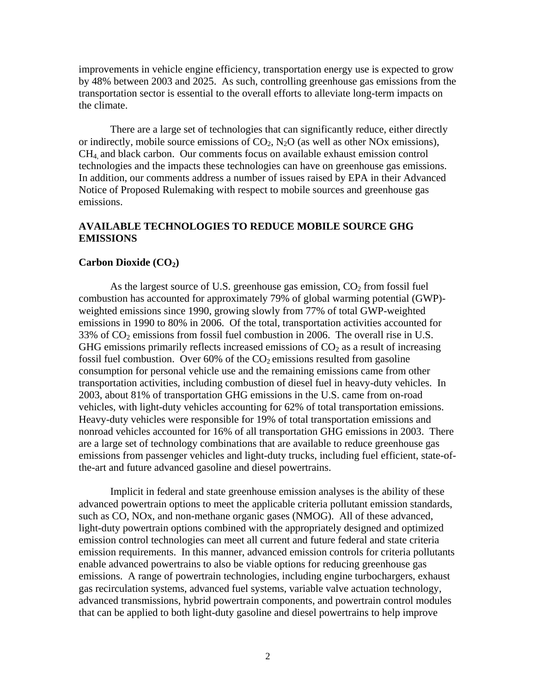improvements in vehicle engine efficiency, transportation energy use is expected to grow by 48% between 2003 and 2025. As such, controlling greenhouse gas emissions from the transportation sector is essential to the overall efforts to alleviate long-term impacts on the climate.

There are a large set of technologies that can significantly reduce, either directly or indirectly, mobile source emissions of  $CO<sub>2</sub>$ , N<sub>2</sub>O (as well as other NO<sub>x</sub> emissions), CH4, and black carbon. Our comments focus on available exhaust emission control technologies and the impacts these technologies can have on greenhouse gas emissions. In addition, our comments address a number of issues raised by EPA in their Advanced Notice of Proposed Rulemaking with respect to mobile sources and greenhouse gas emissions.

# **AVAILABLE TECHNOLOGIES TO REDUCE MOBILE SOURCE GHG EMISSIONS**

### **Carbon Dioxide (CO<sub>2</sub>)**

As the largest source of U.S. greenhouse gas emission,  $CO<sub>2</sub>$  from fossil fuel combustion has accounted for approximately 79% of global warming potential (GWP) weighted emissions since 1990, growing slowly from 77% of total GWP-weighted emissions in 1990 to 80% in 2006. Of the total, transportation activities accounted for 33% of  $CO<sub>2</sub>$  emissions from fossil fuel combustion in 2006. The overall rise in U.S. GHG emissions primarily reflects increased emissions of  $CO<sub>2</sub>$  as a result of increasing fossil fuel combustion. Over 60% of the  $CO<sub>2</sub>$  emissions resulted from gasoline consumption for personal vehicle use and the remaining emissions came from other transportation activities, including combustion of diesel fuel in heavy-duty vehicles. In 2003, about 81% of transportation GHG emissions in the U.S. came from on-road vehicles, with light-duty vehicles accounting for 62% of total transportation emissions. Heavy-duty vehicles were responsible for 19% of total transportation emissions and nonroad vehicles accounted for 16% of all transportation GHG emissions in 2003. There are a large set of technology combinations that are available to reduce greenhouse gas emissions from passenger vehicles and light-duty trucks, including fuel efficient, state-ofthe-art and future advanced gasoline and diesel powertrains.

Implicit in federal and state greenhouse emission analyses is the ability of these advanced powertrain options to meet the applicable criteria pollutant emission standards, such as CO, NOx, and non-methane organic gases (NMOG). All of these advanced, light-duty powertrain options combined with the appropriately designed and optimized emission control technologies can meet all current and future federal and state criteria emission requirements. In this manner, advanced emission controls for criteria pollutants enable advanced powertrains to also be viable options for reducing greenhouse gas emissions. A range of powertrain technologies, including engine turbochargers, exhaust gas recirculation systems, advanced fuel systems, variable valve actuation technology, advanced transmissions, hybrid powertrain components, and powertrain control modules that can be applied to both light-duty gasoline and diesel powertrains to help improve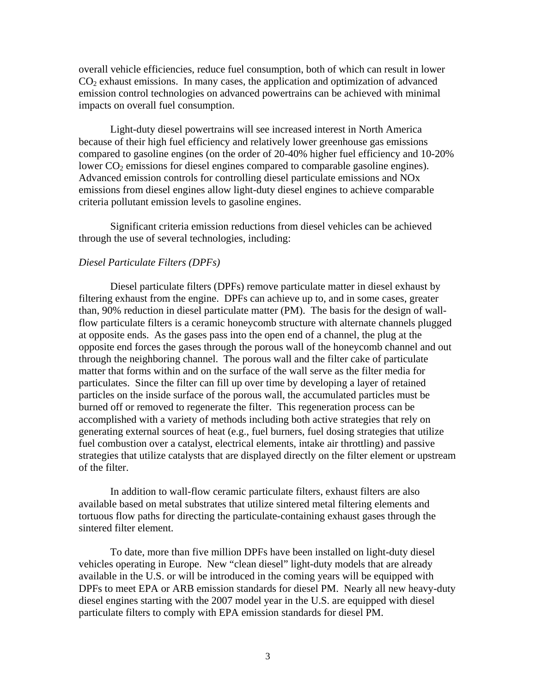overall vehicle efficiencies, reduce fuel consumption, both of which can result in lower  $CO<sub>2</sub>$  exhaust emissions. In many cases, the application and optimization of advanced emission control technologies on advanced powertrains can be achieved with minimal impacts on overall fuel consumption.

 Light-duty diesel powertrains will see increased interest in North America because of their high fuel efficiency and relatively lower greenhouse gas emissions compared to gasoline engines (on the order of 20-40% higher fuel efficiency and 10-20% lower  $CO<sub>2</sub>$  emissions for diesel engines compared to comparable gasoline engines). Advanced emission controls for controlling diesel particulate emissions and NOx emissions from diesel engines allow light-duty diesel engines to achieve comparable criteria pollutant emission levels to gasoline engines.

Significant criteria emission reductions from diesel vehicles can be achieved through the use of several technologies, including:

## *Diesel Particulate Filters (DPFs)*

Diesel particulate filters (DPFs) remove particulate matter in diesel exhaust by filtering exhaust from the engine. DPFs can achieve up to, and in some cases, greater than, 90% reduction in diesel particulate matter (PM). The basis for the design of wallflow particulate filters is a ceramic honeycomb structure with alternate channels plugged at opposite ends. As the gases pass into the open end of a channel, the plug at the opposite end forces the gases through the porous wall of the honeycomb channel and out through the neighboring channel. The porous wall and the filter cake of particulate matter that forms within and on the surface of the wall serve as the filter media for particulates. Since the filter can fill up over time by developing a layer of retained particles on the inside surface of the porous wall, the accumulated particles must be burned off or removed to regenerate the filter. This regeneration process can be accomplished with a variety of methods including both active strategies that rely on generating external sources of heat (e.g., fuel burners, fuel dosing strategies that utilize fuel combustion over a catalyst, electrical elements, intake air throttling) and passive strategies that utilize catalysts that are displayed directly on the filter element or upstream of the filter.

In addition to wall-flow ceramic particulate filters, exhaust filters are also available based on metal substrates that utilize sintered metal filtering elements and tortuous flow paths for directing the particulate-containing exhaust gases through the sintered filter element.

To date, more than five million DPFs have been installed on light-duty diesel vehicles operating in Europe. New "clean diesel" light-duty models that are already available in the U.S. or will be introduced in the coming years will be equipped with DPFs to meet EPA or ARB emission standards for diesel PM. Nearly all new heavy-duty diesel engines starting with the 2007 model year in the U.S. are equipped with diesel particulate filters to comply with EPA emission standards for diesel PM.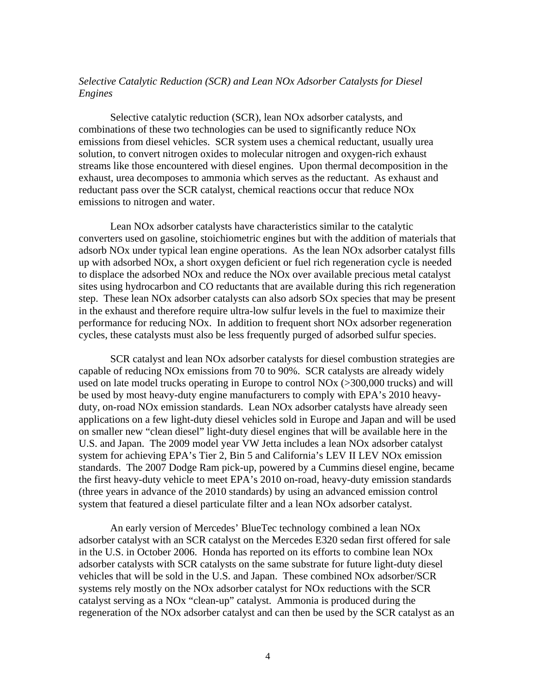# *Selective Catalytic Reduction (SCR) and Lean NOx Adsorber Catalysts for Diesel Engines*

Selective catalytic reduction (SCR), lean NOx adsorber catalysts, and combinations of these two technologies can be used to significantly reduce NOx emissions from diesel vehicles. SCR system uses a chemical reductant, usually urea solution, to convert nitrogen oxides to molecular nitrogen and oxygen-rich exhaust streams like those encountered with diesel engines. Upon thermal decomposition in the exhaust, urea decomposes to ammonia which serves as the reductant. As exhaust and reductant pass over the SCR catalyst, chemical reactions occur that reduce NOx emissions to nitrogen and water.

Lean NOx adsorber catalysts have characteristics similar to the catalytic converters used on gasoline, stoichiometric engines but with the addition of materials that adsorb NOx under typical lean engine operations. As the lean NOx adsorber catalyst fills up with adsorbed NOx, a short oxygen deficient or fuel rich regeneration cycle is needed to displace the adsorbed NOx and reduce the NOx over available precious metal catalyst sites using hydrocarbon and CO reductants that are available during this rich regeneration step. These lean NOx adsorber catalysts can also adsorb SOx species that may be present in the exhaust and therefore require ultra-low sulfur levels in the fuel to maximize their performance for reducing NOx. In addition to frequent short NOx adsorber regeneration cycles, these catalysts must also be less frequently purged of adsorbed sulfur species.

SCR catalyst and lean NOx adsorber catalysts for diesel combustion strategies are capable of reducing NOx emissions from 70 to 90%. SCR catalysts are already widely used on late model trucks operating in Europe to control NOx (>300,000 trucks) and will be used by most heavy-duty engine manufacturers to comply with EPA's 2010 heavyduty, on-road NOx emission standards. Lean NOx adsorber catalysts have already seen applications on a few light-duty diesel vehicles sold in Europe and Japan and will be used on smaller new "clean diesel" light-duty diesel engines that will be available here in the U.S. and Japan. The 2009 model year VW Jetta includes a lean NOx adsorber catalyst system for achieving EPA's Tier 2, Bin 5 and California's LEV II LEV NOx emission standards. The 2007 Dodge Ram pick-up, powered by a Cummins diesel engine, became the first heavy-duty vehicle to meet EPA's 2010 on-road, heavy-duty emission standards (three years in advance of the 2010 standards) by using an advanced emission control system that featured a diesel particulate filter and a lean NOx adsorber catalyst.

An early version of Mercedes' BlueTec technology combined a lean NOx adsorber catalyst with an SCR catalyst on the Mercedes E320 sedan first offered for sale in the U.S. in October 2006. Honda has reported on its efforts to combine lean NOx adsorber catalysts with SCR catalysts on the same substrate for future light-duty diesel vehicles that will be sold in the U.S. and Japan. These combined NOx adsorber/SCR systems rely mostly on the NOx adsorber catalyst for NOx reductions with the SCR catalyst serving as a NOx "clean-up" catalyst. Ammonia is produced during the regeneration of the NOx adsorber catalyst and can then be used by the SCR catalyst as an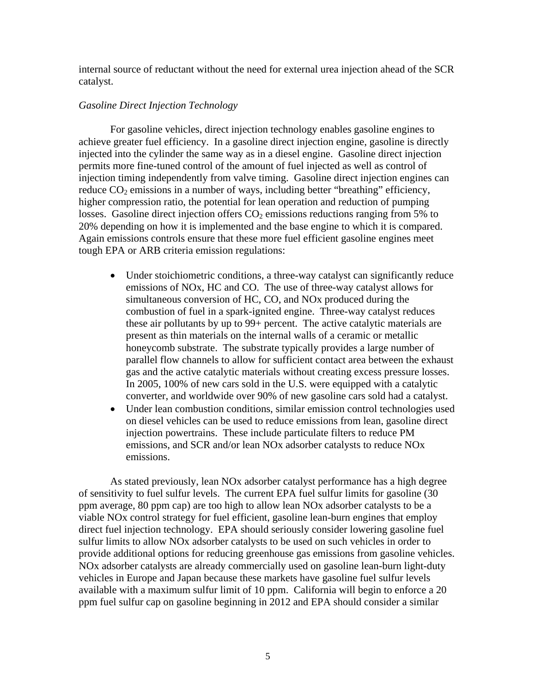internal source of reductant without the need for external urea injection ahead of the SCR catalyst.

### *Gasoline Direct Injection Technology*

For gasoline vehicles, direct injection technology enables gasoline engines to achieve greater fuel efficiency. In a gasoline direct injection engine, gasoline is directly injected into the cylinder the same way as in a diesel engine. Gasoline direct injection permits more fine-tuned control of the amount of fuel injected as well as control of injection timing independently from valve timing. Gasoline direct injection engines can reduce  $CO_2$  emissions in a number of ways, including better "breathing" efficiency, higher compression ratio, the potential for lean operation and reduction of pumping losses. Gasoline direct injection offers  $CO<sub>2</sub>$  emissions reductions ranging from 5% to 20% depending on how it is implemented and the base engine to which it is compared. Again emissions controls ensure that these more fuel efficient gasoline engines meet tough EPA or ARB criteria emission regulations:

- Under stoichiometric conditions, a three-way catalyst can significantly reduce emissions of NOx, HC and CO. The use of three-way catalyst allows for simultaneous conversion of HC, CO, and NOx produced during the combustion of fuel in a spark-ignited engine. Three-way catalyst reduces these air pollutants by up to 99+ percent. The active catalytic materials are present as thin materials on the internal walls of a ceramic or metallic honeycomb substrate. The substrate typically provides a large number of parallel flow channels to allow for sufficient contact area between the exhaust gas and the active catalytic materials without creating excess pressure losses. In 2005, 100% of new cars sold in the U.S. were equipped with a catalytic converter, and worldwide over 90% of new gasoline cars sold had a catalyst.
- Under lean combustion conditions, similar emission control technologies used on diesel vehicles can be used to reduce emissions from lean, gasoline direct injection powertrains. These include particulate filters to reduce PM emissions, and SCR and/or lean NOx adsorber catalysts to reduce NOx emissions.

 As stated previously, lean NOx adsorber catalyst performance has a high degree of sensitivity to fuel sulfur levels. The current EPA fuel sulfur limits for gasoline (30 ppm average, 80 ppm cap) are too high to allow lean NOx adsorber catalysts to be a viable NOx control strategy for fuel efficient, gasoline lean-burn engines that employ direct fuel injection technology. EPA should seriously consider lowering gasoline fuel sulfur limits to allow NOx adsorber catalysts to be used on such vehicles in order to provide additional options for reducing greenhouse gas emissions from gasoline vehicles. NOx adsorber catalysts are already commercially used on gasoline lean-burn light-duty vehicles in Europe and Japan because these markets have gasoline fuel sulfur levels available with a maximum sulfur limit of 10 ppm. California will begin to enforce a 20 ppm fuel sulfur cap on gasoline beginning in 2012 and EPA should consider a similar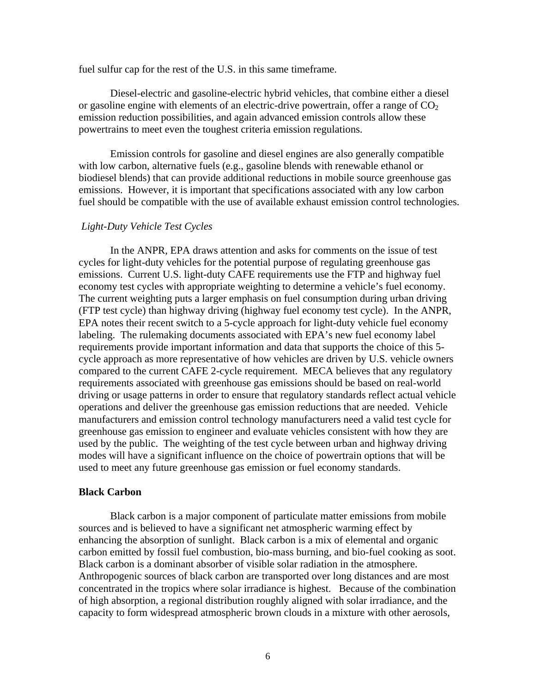fuel sulfur cap for the rest of the U.S. in this same timeframe.

Diesel-electric and gasoline-electric hybrid vehicles, that combine either a diesel or gasoline engine with elements of an electric-drive powertrain, offer a range of  $CO<sub>2</sub>$ emission reduction possibilities, and again advanced emission controls allow these powertrains to meet even the toughest criteria emission regulations.

Emission controls for gasoline and diesel engines are also generally compatible with low carbon, alternative fuels (e.g., gasoline blends with renewable ethanol or biodiesel blends) that can provide additional reductions in mobile source greenhouse gas emissions. However, it is important that specifications associated with any low carbon fuel should be compatible with the use of available exhaust emission control technologies.

## *Light-Duty Vehicle Test Cycles*

 In the ANPR, EPA draws attention and asks for comments on the issue of test cycles for light-duty vehicles for the potential purpose of regulating greenhouse gas emissions. Current U.S. light-duty CAFE requirements use the FTP and highway fuel economy test cycles with appropriate weighting to determine a vehicle's fuel economy. The current weighting puts a larger emphasis on fuel consumption during urban driving (FTP test cycle) than highway driving (highway fuel economy test cycle). In the ANPR, EPA notes their recent switch to a 5-cycle approach for light-duty vehicle fuel economy labeling. The rulemaking documents associated with EPA's new fuel economy label requirements provide important information and data that supports the choice of this 5 cycle approach as more representative of how vehicles are driven by U.S. vehicle owners compared to the current CAFE 2-cycle requirement. MECA believes that any regulatory requirements associated with greenhouse gas emissions should be based on real-world driving or usage patterns in order to ensure that regulatory standards reflect actual vehicle operations and deliver the greenhouse gas emission reductions that are needed. Vehicle manufacturers and emission control technology manufacturers need a valid test cycle for greenhouse gas emission to engineer and evaluate vehicles consistent with how they are used by the public. The weighting of the test cycle between urban and highway driving modes will have a significant influence on the choice of powertrain options that will be used to meet any future greenhouse gas emission or fuel economy standards.

### **Black Carbon**

Black carbon is a major component of particulate matter emissions from mobile sources and is believed to have a significant net atmospheric warming effect by enhancing the absorption of sunlight. Black carbon is a mix of elemental and organic carbon emitted by fossil fuel combustion, bio-mass burning, and bio-fuel cooking as soot. Black carbon is a dominant absorber of visible solar radiation in the atmosphere. Anthropogenic sources of black carbon are transported over long distances and are most concentrated in the tropics where solar irradiance is highest. Because of the combination of high absorption, a regional distribution roughly aligned with solar irradiance, and the capacity to form widespread atmospheric brown clouds in a mixture with other aerosols,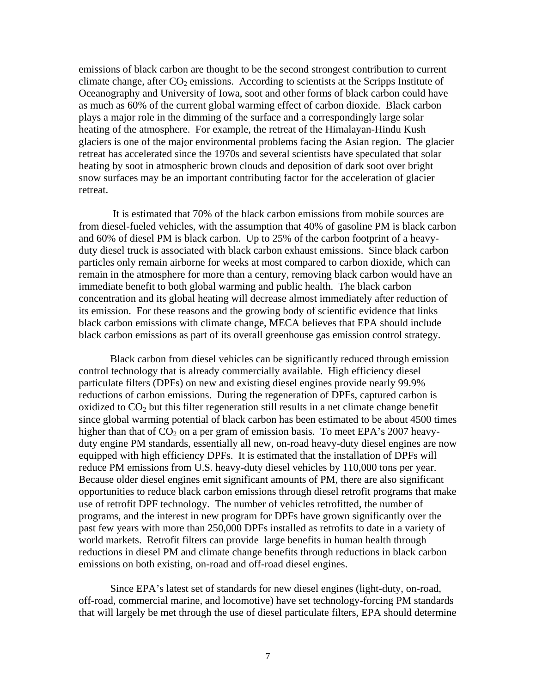emissions of black carbon are thought to be the second strongest contribution to current climate change, after  $CO<sub>2</sub>$  emissions. According to scientists at the Scripps Institute of Oceanography and University of Iowa, soot and other forms of black carbon could have as much as 60% of the current global warming effect of carbon dioxide. Black carbon plays a major role in the dimming of the surface and a correspondingly large solar heating of the atmosphere. For example, the retreat of the Himalayan-Hindu Kush glaciers is one of the major environmental problems facing the Asian region. The glacier retreat has accelerated since the 1970s and several scientists have speculated that solar heating by soot in atmospheric brown clouds and deposition of dark soot over bright snow surfaces may be an important contributing factor for the acceleration of glacier retreat.

 It is estimated that 70% of the black carbon emissions from mobile sources are from diesel-fueled vehicles, with the assumption that 40% of gasoline PM is black carbon and 60% of diesel PM is black carbon. Up to 25% of the carbon footprint of a heavyduty diesel truck is associated with black carbon exhaust emissions. Since black carbon particles only remain airborne for weeks at most compared to carbon dioxide, which can remain in the atmosphere for more than a century, removing black carbon would have an immediate benefit to both global warming and public health. The black carbon concentration and its global heating will decrease almost immediately after reduction of its emission. For these reasons and the growing body of scientific evidence that links black carbon emissions with climate change, MECA believes that EPA should include black carbon emissions as part of its overall greenhouse gas emission control strategy.

 Black carbon from diesel vehicles can be significantly reduced through emission control technology that is already commercially available. High efficiency diesel particulate filters (DPFs) on new and existing diesel engines provide nearly 99.9% reductions of carbon emissions. During the regeneration of DPFs, captured carbon is oxidized to  $CO<sub>2</sub>$  but this filter regeneration still results in a net climate change benefit since global warming potential of black carbon has been estimated to be about 4500 times higher than that of  $CO<sub>2</sub>$  on a per gram of emission basis. To meet EPA's 2007 heavyduty engine PM standards, essentially all new, on-road heavy-duty diesel engines are now equipped with high efficiency DPFs. It is estimated that the installation of DPFs will reduce PM emissions from U.S. heavy-duty diesel vehicles by 110,000 tons per year. Because older diesel engines emit significant amounts of PM, there are also significant opportunities to reduce black carbon emissions through diesel retrofit programs that make use of retrofit DPF technology. The number of vehicles retrofitted, the number of programs, and the interest in new program for DPFs have grown significantly over the past few years with more than 250,000 DPFs installed as retrofits to date in a variety of world markets. Retrofit filters can provide large benefits in human health through reductions in diesel PM and climate change benefits through reductions in black carbon emissions on both existing, on-road and off-road diesel engines.

Since EPA's latest set of standards for new diesel engines (light-duty, on-road, off-road, commercial marine, and locomotive) have set technology-forcing PM standards that will largely be met through the use of diesel particulate filters, EPA should determine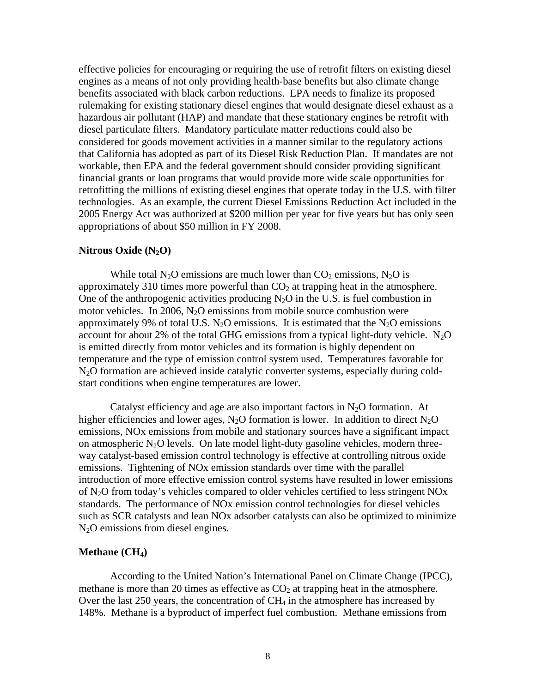effective policies for encouraging or requiring the use of retrofit filters on existing diesel engines as a means of not only providing health-base benefits but also climate change benefits associated with black carbon reductions. EPA needs to finalize its proposed rulemaking for existing stationary diesel engines that would designate diesel exhaust as a hazardous air pollutant (HAP) and mandate that these stationary engines be retrofit with diesel particulate filters. Mandatory particulate matter reductions could also be considered for goods movement activities in a manner similar to the regulatory actions that California has adopted as part of its Diesel Risk Reduction Plan. If mandates are not workable, then EPA and the federal government should consider providing significant financial grants or loan programs that would provide more wide scale opportunities for retrofitting the millions of existing diesel engines that operate today in the U.S. with filter technologies. As an example, the current Diesel Emissions Reduction Act included in the 2005 Energy Act was authorized at \$200 million per year for five years but has only seen appropriations of about \$50 million in FY 2008.

### **Nitrous Oxide (N2O)**

While total N<sub>2</sub>O emissions are much lower than  $CO_2$  emissions, N<sub>2</sub>O is approximately 310 times more powerful than  $CO<sub>2</sub>$  at trapping heat in the atmosphere. One of the anthropogenic activities producing  $N_2O$  in the U.S. is fuel combustion in motor vehicles. In 2006,  $N_2O$  emissions from mobile source combustion were approximately 9% of total U.S.  $N_2O$  emissions. It is estimated that the  $N_2O$  emissions account for about 2% of the total GHG emissions from a typical light-duty vehicle.  $N_2O$ is emitted directly from motor vehicles and its formation is highly dependent on temperature and the type of emission control system used. Temperatures favorable for N2O formation are achieved inside catalytic converter systems, especially during coldstart conditions when engine temperatures are lower.

Catalyst efficiency and age are also important factors in  $N_2O$  formation. At higher efficiencies and lower ages,  $N_2O$  formation is lower. In addition to direct  $N_2O$ emissions, NOx emissions from mobile and stationary sources have a significant impact on atmospheric  $N_2O$  levels. On late model light-duty gasoline vehicles, modern threeway catalyst-based emission control technology is effective at controlling nitrous oxide emissions. Tightening of NOx emission standards over time with the parallel introduction of more effective emission control systems have resulted in lower emissions of  $N<sub>2</sub>O$  from today's vehicles compared to older vehicles certified to less stringent  $NOx$ standards. The performance of NOx emission control technologies for diesel vehicles such as SCR catalysts and lean NOx adsorber catalysts can also be optimized to minimize  $N<sub>2</sub>O$  emissions from diesel engines.

#### **Methane** (CH<sub>4</sub>)

According to the United Nation's International Panel on Climate Change (IPCC), methane is more than 20 times as effective as  $CO<sub>2</sub>$  at trapping heat in the atmosphere. Over the last 250 years, the concentration of  $CH_4$  in the atmosphere has increased by 148%. Methane is a byproduct of imperfect fuel combustion. Methane emissions from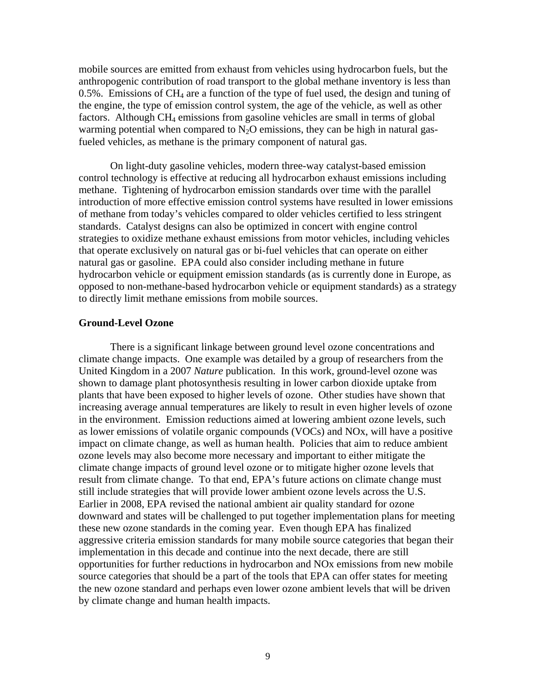mobile sources are emitted from exhaust from vehicles using hydrocarbon fuels, but the anthropogenic contribution of road transport to the global methane inventory is less than  $0.5\%$ . Emissions of CH<sub>4</sub> are a function of the type of fuel used, the design and tuning of the engine, the type of emission control system, the age of the vehicle, as well as other factors. Although CH4 emissions from gasoline vehicles are small in terms of global warming potential when compared to  $N_2O$  emissions, they can be high in natural gasfueled vehicles, as methane is the primary component of natural gas.

On light-duty gasoline vehicles, modern three-way catalyst-based emission control technology is effective at reducing all hydrocarbon exhaust emissions including methane. Tightening of hydrocarbon emission standards over time with the parallel introduction of more effective emission control systems have resulted in lower emissions of methane from today's vehicles compared to older vehicles certified to less stringent standards. Catalyst designs can also be optimized in concert with engine control strategies to oxidize methane exhaust emissions from motor vehicles, including vehicles that operate exclusively on natural gas or bi-fuel vehicles that can operate on either natural gas or gasoline. EPA could also consider including methane in future hydrocarbon vehicle or equipment emission standards (as is currently done in Europe, as opposed to non-methane-based hydrocarbon vehicle or equipment standards) as a strategy to directly limit methane emissions from mobile sources.

## **Ground-Level Ozone**

 There is a significant linkage between ground level ozone concentrations and climate change impacts. One example was detailed by a group of researchers from the United Kingdom in a 2007 *Nature* publication. In this work, ground-level ozone was shown to damage plant photosynthesis resulting in lower carbon dioxide uptake from plants that have been exposed to higher levels of ozone. Other studies have shown that increasing average annual temperatures are likely to result in even higher levels of ozone in the environment. Emission reductions aimed at lowering ambient ozone levels, such as lower emissions of volatile organic compounds (VOCs) and NOx, will have a positive impact on climate change, as well as human health. Policies that aim to reduce ambient ozone levels may also become more necessary and important to either mitigate the climate change impacts of ground level ozone or to mitigate higher ozone levels that result from climate change. To that end, EPA's future actions on climate change must still include strategies that will provide lower ambient ozone levels across the U.S. Earlier in 2008, EPA revised the national ambient air quality standard for ozone downward and states will be challenged to put together implementation plans for meeting these new ozone standards in the coming year. Even though EPA has finalized aggressive criteria emission standards for many mobile source categories that began their implementation in this decade and continue into the next decade, there are still opportunities for further reductions in hydrocarbon and NOx emissions from new mobile source categories that should be a part of the tools that EPA can offer states for meeting the new ozone standard and perhaps even lower ozone ambient levels that will be driven by climate change and human health impacts.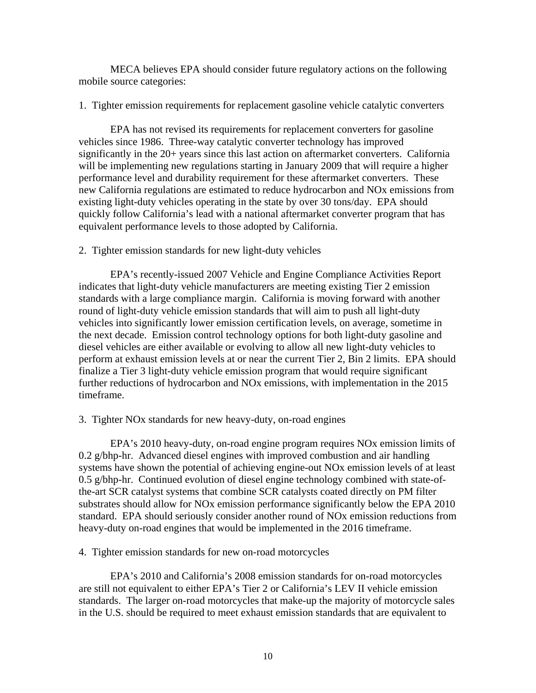MECA believes EPA should consider future regulatory actions on the following mobile source categories:

## 1. Tighter emission requirements for replacement gasoline vehicle catalytic converters

 EPA has not revised its requirements for replacement converters for gasoline vehicles since 1986. Three-way catalytic converter technology has improved significantly in the 20+ years since this last action on aftermarket converters. California will be implementing new regulations starting in January 2009 that will require a higher performance level and durability requirement for these aftermarket converters. These new California regulations are estimated to reduce hydrocarbon and NOx emissions from existing light-duty vehicles operating in the state by over 30 tons/day. EPA should quickly follow California's lead with a national aftermarket converter program that has equivalent performance levels to those adopted by California.

# 2. Tighter emission standards for new light-duty vehicles

 EPA's recently-issued 2007 Vehicle and Engine Compliance Activities Report indicates that light-duty vehicle manufacturers are meeting existing Tier 2 emission standards with a large compliance margin. California is moving forward with another round of light-duty vehicle emission standards that will aim to push all light-duty vehicles into significantly lower emission certification levels, on average, sometime in the next decade. Emission control technology options for both light-duty gasoline and diesel vehicles are either available or evolving to allow all new light-duty vehicles to perform at exhaust emission levels at or near the current Tier 2, Bin 2 limits. EPA should finalize a Tier 3 light-duty vehicle emission program that would require significant further reductions of hydrocarbon and NOx emissions, with implementation in the 2015 timeframe.

# 3. Tighter NOx standards for new heavy-duty, on-road engines

 EPA's 2010 heavy-duty, on-road engine program requires NOx emission limits of 0.2 g/bhp-hr. Advanced diesel engines with improved combustion and air handling systems have shown the potential of achieving engine-out NOx emission levels of at least 0.5 g/bhp-hr. Continued evolution of diesel engine technology combined with state-ofthe-art SCR catalyst systems that combine SCR catalysts coated directly on PM filter substrates should allow for NOx emission performance significantly below the EPA 2010 standard. EPA should seriously consider another round of NOx emission reductions from heavy-duty on-road engines that would be implemented in the 2016 timeframe.

## 4. Tighter emission standards for new on-road motorcycles

 EPA's 2010 and California's 2008 emission standards for on-road motorcycles are still not equivalent to either EPA's Tier 2 or California's LEV II vehicle emission standards. The larger on-road motorcycles that make-up the majority of motorcycle sales in the U.S. should be required to meet exhaust emission standards that are equivalent to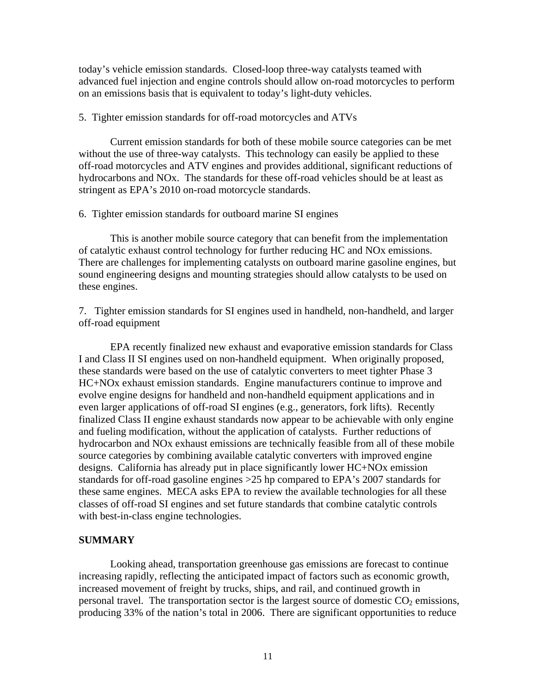today's vehicle emission standards. Closed-loop three-way catalysts teamed with advanced fuel injection and engine controls should allow on-road motorcycles to perform on an emissions basis that is equivalent to today's light-duty vehicles.

## 5. Tighter emission standards for off-road motorcycles and ATVs

 Current emission standards for both of these mobile source categories can be met without the use of three-way catalysts. This technology can easily be applied to these off-road motorcycles and ATV engines and provides additional, significant reductions of hydrocarbons and NOx. The standards for these off-road vehicles should be at least as stringent as EPA's 2010 on-road motorcycle standards.

#### 6. Tighter emission standards for outboard marine SI engines

 This is another mobile source category that can benefit from the implementation of catalytic exhaust control technology for further reducing HC and NOx emissions. There are challenges for implementing catalysts on outboard marine gasoline engines, but sound engineering designs and mounting strategies should allow catalysts to be used on these engines.

7. Tighter emission standards for SI engines used in handheld, non-handheld, and larger off-road equipment

 EPA recently finalized new exhaust and evaporative emission standards for Class I and Class II SI engines used on non-handheld equipment. When originally proposed, these standards were based on the use of catalytic converters to meet tighter Phase 3 HC+NOx exhaust emission standards. Engine manufacturers continue to improve and evolve engine designs for handheld and non-handheld equipment applications and in even larger applications of off-road SI engines (e.g., generators, fork lifts). Recently finalized Class II engine exhaust standards now appear to be achievable with only engine and fueling modification, without the application of catalysts. Further reductions of hydrocarbon and NOx exhaust emissions are technically feasible from all of these mobile source categories by combining available catalytic converters with improved engine designs. California has already put in place significantly lower HC+NOx emission standards for off-road gasoline engines >25 hp compared to EPA's 2007 standards for these same engines. MECA asks EPA to review the available technologies for all these classes of off-road SI engines and set future standards that combine catalytic controls with best-in-class engine technologies.

# **SUMMARY**

Looking ahead, transportation greenhouse gas emissions are forecast to continue increasing rapidly, reflecting the anticipated impact of factors such as economic growth, increased movement of freight by trucks, ships, and rail, and continued growth in personal travel. The transportation sector is the largest source of domestic  $CO<sub>2</sub>$  emissions, producing 33% of the nation's total in 2006. There are significant opportunities to reduce